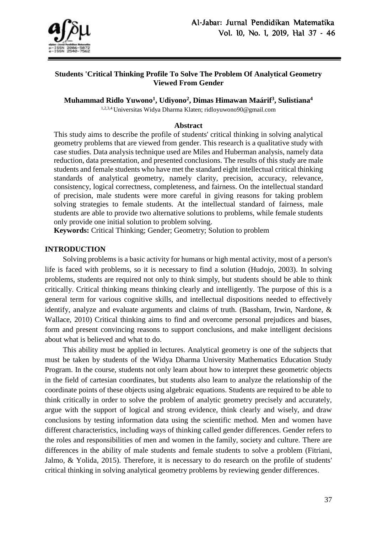

## **Students 'Critical Thinking Profile To Solve The Problem Of Analytical Geometry Viewed From Gender**

**Muhammad Ridlo Yuwono<sup>1</sup> , Udiyono<sup>2</sup> , Dimas Himawan Maárif<sup>3</sup> , Sulistiana<sup>4</sup>**

1,2,3,4 Universitas Widya Dharma Klaten; ridloyuwono90@gmail.com

#### **Abstract**

This study aims to describe the profile of students' critical thinking in solving analytical geometry problems that are viewed from gender. This research is a qualitative study with case studies. Data analysis technique used are Miles and Huberman analysis, namely data reduction, data presentation, and presented conclusions. The results of this study are male students and female students who have met the standard eight intellectual critical thinking standards of analytical geometry, namely clarity, precision, accuracy, relevance, consistency, logical correctness, completeness, and fairness. On the intellectual standard of precision, male students were more careful in giving reasons for taking problem solving strategies to female students. At the intellectual standard of fairness, male students are able to provide two alternative solutions to problems, while female students only provide one initial solution to problem solving.

**Keywords:** Critical Thinking; Gender; Geometry; Solution to problem

#### **INTRODUCTION**

Solving problems is a basic activity for humans or high mental activity, most of a person's life is faced with problems, so it is necessary to find a solution (Hudojo, 2003). In solving problems, students are required not only to think simply, but students should be able to think critically. Critical thinking means thinking clearly and intelligently. The purpose of this is a general term for various cognitive skills, and intellectual dispositions needed to effectively identify, analyze and evaluate arguments and claims of truth. (Bassham, Irwin, Nardone, & Wallace, 2010) Critical thinking aims to find and overcome personal prejudices and biases, form and present convincing reasons to support conclusions, and make intelligent decisions about what is believed and what to do.

This ability must be applied in lectures. Analytical geometry is one of the subjects that must be taken by students of the Widya Dharma University Mathematics Education Study Program. In the course, students not only learn about how to interpret these geometric objects in the field of cartesian coordinates, but students also learn to analyze the relationship of the coordinate points of these objects using algebraic equations. Students are required to be able to think critically in order to solve the problem of analytic geometry precisely and accurately, argue with the support of logical and strong evidence, think clearly and wisely, and draw conclusions by testing information data using the scientific method. Men and women have different characteristics, including ways of thinking called gender differences. Gender refers to the roles and responsibilities of men and women in the family, society and culture. There are differences in the ability of male students and female students to solve a problem (Fitriani, Jalmo, & Yolida, 2015). Therefore, it is necessary to do research on the profile of students' critical thinking in solving analytical geometry problems by reviewing gender differences.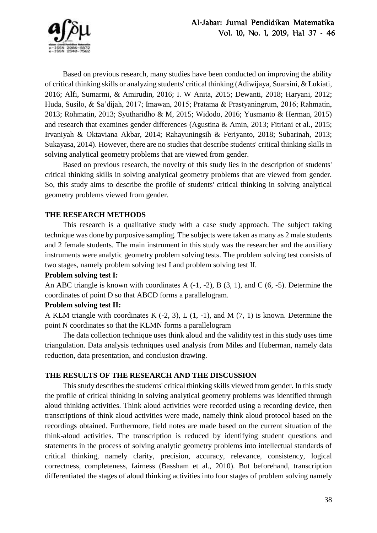Based on previous research, many studies have been conducted on improving the ability of critical thinking skills or analyzing students' critical thinking (Adiwijaya, Suarsini, & Lukiati, 2016; Alfi, Sumarmi, & Amirudin, 2016; I. W Anita, 2015; Dewanti, 2018; Haryani, 2012; Huda, Susilo, & Sa'dijah, 2017; Imawan, 2015; Pratama & Prastyaningrum, 2016; Rahmatin, 2013; Rohmatin, 2013; Syutharidho & M, 2015; Widodo, 2016; Yusmanto & Herman, 2015) and research that examines gender differences (Agustina & Amin, 2013; Fitriani et al., 2015; Irvaniyah & Oktaviana Akbar, 2014; Rahayuningsih & Feriyanto, 2018; Subarinah, 2013; Sukayasa, 2014). However, there are no studies that describe students' critical thinking skills in solving analytical geometry problems that are viewed from gender.

Based on previous research, the novelty of this study lies in the description of students' critical thinking skills in solving analytical geometry problems that are viewed from gender. So, this study aims to describe the profile of students' critical thinking in solving analytical geometry problems viewed from gender.

## **THE RESEARCH METHODS**

This research is a qualitative study with a case study approach. The subject taking technique was done by purposive sampling. The subjects were taken as many as 2 male students and 2 female students. The main instrument in this study was the researcher and the auxiliary instruments were analytic geometry problem solving tests. The problem solving test consists of two stages, namely problem solving test I and problem solving test II.

# **Problem solving test I:**

An ABC triangle is known with coordinates A (-1, -2), B (3, 1), and C (6, -5). Determine the coordinates of point D so that ABCD forms a parallelogram.

## **Problem solving test II:**

A KLM triangle with coordinates K (-2, 3), L (1, -1), and M (7, 1) is known. Determine the point N coordinates so that the KLMN forms a parallelogram

The data collection technique uses think aloud and the validity test in this study uses time triangulation. Data analysis techniques used analysis from Miles and Huberman, namely data reduction, data presentation, and conclusion drawing.

# **THE RESULTS OF THE RESEARCH AND THE DISCUSSION**

This study describes the students' critical thinking skills viewed from gender. In this study the profile of critical thinking in solving analytical geometry problems was identified through aloud thinking activities. Think aloud activities were recorded using a recording device, then transcriptions of think aloud activities were made, namely think aloud protocol based on the recordings obtained. Furthermore, field notes are made based on the current situation of the think-aloud activities. The transcription is reduced by identifying student questions and statements in the process of solving analytic geometry problems into intellectual standards of critical thinking, namely clarity, precision, accuracy, relevance, consistency, logical correctness, completeness, fairness (Bassham et al., 2010). But beforehand, transcription differentiated the stages of aloud thinking activities into four stages of problem solving namely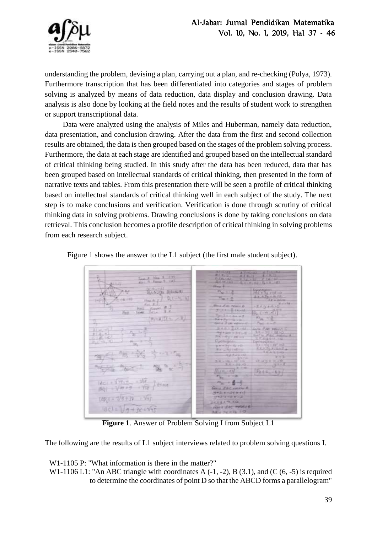

understanding the problem, devising a plan, carrying out a plan, and re-checking (Polya, 1973). Furthermore transcription that has been differentiated into categories and stages of problem solving is analyzed by means of data reduction, data display and conclusion drawing. Data analysis is also done by looking at the field notes and the results of student work to strengthen or support transcriptional data.

Data were analyzed using the analysis of Miles and Huberman, namely data reduction, data presentation, and conclusion drawing. After the data from the first and second collection results are obtained, the data is then grouped based on the stages of the problem solving process. Furthermore, the data at each stage are identified and grouped based on the intellectual standard of critical thinking being studied. In this study after the data has been reduced, data that has been grouped based on intellectual standards of critical thinking, then presented in the form of narrative texts and tables. From this presentation there will be seen a profile of critical thinking based on intellectual standards of critical thinking well in each subject of the study. The next step is to make conclusions and verification. Verification is done through scrutiny of critical thinking data in solving problems. Drawing conclusions is done by taking conclusions on data retrieval. This conclusion becomes a profile description of critical thinking in solving problems from each research subject.

Figure 1 shows the answer to the L1 subject (the first male student subject).

 $=$   $V1T +$ 天平  $1451 + 1.97 + 1.358$ (中)(三寸/年十)) 下城  $9 + 15 = \sqrt{111}$ IBCI =

**Figure 1**. Answer of Problem Solving I from Subject L1

The following are the results of L1 subject interviews related to problem solving questions I.

W1-1105 P: "What information is there in the matter?"

W1-1106 L1: "An ABC triangle with coordinates A  $(-1, -2)$ , B  $(3.1)$ , and  $(C (6, -5)$  is required to determine the coordinates of point D so that the ABCD forms a parallelogram"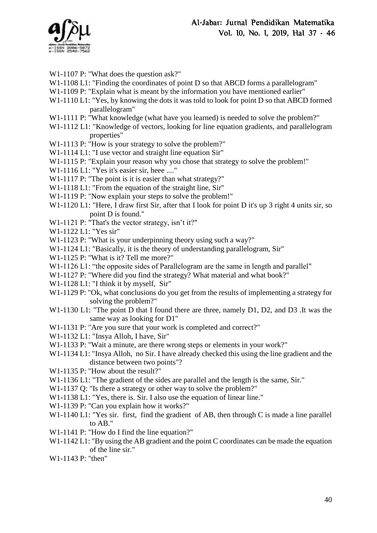

- W1-1107 P: "What does the question ask?"
- W<sub>1</sub>-1108 L<sub>1</sub>: "Finding the coordinates of point D so that ABCD forms a parallelogram"
- W1-1109 P: "Explain what is meant by the information you have mentioned earlier"
- W1-1110 L1: "Yes, by knowing the dots it was told to look for point D so that ABCD formed parallelogram"
- W1-1111 P: "What knowledge (what have you learned) is needed to solve the problem?"
- W1-1112 L1: "Knowledge of vectors, looking for line equation gradients, and parallelogram properties"
- W1-1113 P: "How is your strategy to solve the problem?"
- W1-1114 L1: "I use vector and straight line equation Sir"
- W1-1115 P: "Explain your reason why you chose that strategy to solve the problem!"
- W1-1116 L1: "Yes it's easier sir, heee ...."
- W1-1117 P: "The point is it is easier than what strategy?"
- W<sub>1</sub>-1118 L<sub>1</sub>: "From the equation of the straight line, Sir"
- W1-1119 P: "Now explain your steps to solve the problem!"
- W1-1120 L1: "Here, I draw first Sir, after that I look for point D it's up 3 right 4 units sir, so point D is found."
- W1-1121 P: "That's the vector strategy, isn't it?"
- W1-1122 L1: "Yes sir"
- W1-1123 P: "What is your underpinning theory using such a way?"
- W1-1124 L1: "Basically, it is the theory of understanding parallelogram, Sir"
- W1-1125 P: "What is it? Tell me more?"
- W<sub>1</sub>-1126 L<sub>1</sub>: "the opposite sides of Parallelogram are the same in length and parallel"
- W<sub>1</sub>-1127 P: "Where did you find the strategy? What material and what book?"
- W<sub>1</sub>-1128 L<sub>1</sub>: "I think it by myself, Sir"
- W1-1129 P: "Ok, what conclusions do you get from the results of implementing a strategy for solving the problem?"
- W<sub>1</sub>-1130 L<sub>1</sub>: "The point D that I found there are three, namely D<sub>1</sub>, D<sub>2</sub>, and D<sub>3</sub>. It was the same way as looking for D1"
- W1-1131 P: "Are you sure that your work is completed and correct?"
- W1-1132 L1: "Insya Alloh, I have, Sir"
- W<sub>1</sub>-1133 P: "Wait a minute, are there wrong steps or elements in your work?"
- W<sub>1</sub>-1134 L<sub>1</sub>: "Insya Alloh, no Sir. I have already checked this using the line gradient and the distance between two points"?
- W1-1135 P: "How about the result?"
- W<sub>1</sub>-1136 L<sub>1</sub>: "The gradient of the sides are parallel and the length is the same, Sir."
- W<sub>1</sub>-1137 Q: "Is there a strategy or other way to solve the problem?"
- W1-1138 L1: "Yes, there is. Sir. I also use the equation of linear line."
- W<sub>1</sub>-1139 P: "Can you explain how it works?"
- W1-1140 L1: "Yes sir. first, find the gradient of AB, then through C is made a line parallel to AB."
- W1-1141 P: "How do I find the line equation?"
- W<sub>1</sub>-1142 L<sub>1</sub>: "By using the AB gradient and the point C coordinates can be made the equation of the line sir."
- W1-1143 P: "then"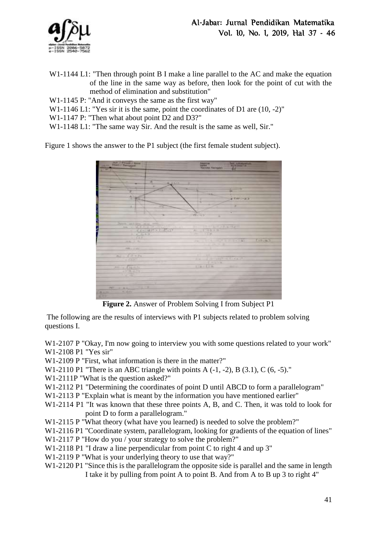

- W1-1144 L1: "Then through point B I make a line parallel to the AC and make the equation of the line in the same way as before, then look for the point of cut with the method of elimination and substitution"
- W1-1145 P: "And it conveys the same as the first way"
- W<sub>1</sub>-1146 L<sub>1</sub>: "Yes sir it is the same, point the coordinates of D<sub>1</sub> are  $(10, -2)$ "
- W1-1147 P: "Then what about point D2 and D3?"
- W1-1148 L1: "The same way Sir. And the result is the same as well, Sir."

Figure 1 shows the answer to the P1 subject (the first female student subject).



**Figure 2.** Answer of Problem Solving I from Subject P1

The following are the results of interviews with P1 subjects related to problem solving questions I.

W<sub>1</sub>-2107 P "Okay, I'm now going to interview you with some questions related to your work" W1-2108 P1 "Yes sir"

- W1-2109 P "First, what information is there in the matter?"
- W1-2110 P1 "There is an ABC triangle with points A  $(-1, -2)$ , B  $(3.1)$ , C  $(6, -5)$ ."

W1-2111P "What is the question asked?"

- W<sub>1</sub>-2112 P<sub>1</sub> "Determining the coordinates of point D until ABCD to form a parallelogram"
- W<sub>1</sub>-2113 P "Explain what is meant by the information you have mentioned earlier"
- W1-2114 P1 "It was known that these three points A, B, and C. Then, it was told to look for point D to form a parallelogram."
- W1-2115 P "What theory (what have you learned) is needed to solve the problem?"
- W1-2116 P1 "Coordinate system, parallelogram, looking for gradients of the equation of lines"
- W1-2117 P "How do you / your strategy to solve the problem?"
- W<sub>1</sub>-2118 P<sub>1</sub> "I draw a line perpendicular from point C to right 4 and up 3"
- W1-2119 P "What is your underlying theory to use that way?"
- W<sub>1</sub>-2120 P<sub>1</sub> "Since this is the parallelogram the opposite side is parallel and the same in length I take it by pulling from point A to point B. And from A to B up 3 to right 4"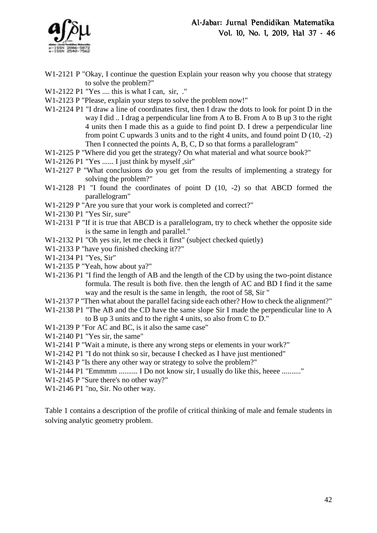

- W1-2121 P "Okay, I continue the question Explain your reason why you choose that strategy to solve the problem?"
- W1-2122 P1 "Yes .... this is what I can, sir, ."
- W1-2123 P "Please, explain your steps to solve the problem now!"
- W<sub>1</sub>-2124 P<sub>1</sub> "I draw a line of coordinates first, then I draw the dots to look for point D in the way I did .. I drag a perpendicular line from A to B. From A to B up 3 to the right 4 units then I made this as a guide to find point D. I drew a perpendicular line from point C upwards 3 units and to the right 4 units, and found point D (10, -2) Then I connected the points A, B, C, D so that forms a parallelogram"
- W1-2125 P "Where did you get the strategy? On what material and what source book?"
- W1-2126 P1 "Yes ...... I just think by myself, sir"
- W1-2127 P "What conclusions do you get from the results of implementing a strategy for solving the problem?"
- W1-2128 P1 "I found the coordinates of point D (10, -2) so that ABCD formed the parallelogram"
- W1-2129 P "Are you sure that your work is completed and correct?"
- W1-2130 P1 "Yes Sir, sure"
- W1-2131 P "If it is true that ABCD is a parallelogram, try to check whether the opposite side is the same in length and parallel."
- W1-2132 P1 "Oh yes sir, let me check it first" (subject checked quietly)
- W1-2133 P "have you finished checking it??"
- W1-2134 P1 "Yes, Sir"
- W1-2135 P "Yeah, how about ya?"
- W<sub>1</sub>-2136 P<sub>1</sub> "I find the length of AB and the length of the CD by using the two-point distance formula. The result is both five. then the length of AC and BD I find it the same way and the result is the same in length, the root of 58, Sir "
- W<sub>1</sub>-2137 P "Then what about the parallel facing side each other? How to check the alignment?"
- W1-2138 P1 "The AB and the CD have the same slope Sir I made the perpendicular line to A to B up 3 units and to the right 4 units, so also from C to D."
- W1-2139 P "For AC and BC, is it also the same case"
- W1-2140 P1 "Yes sir, the same"
- W1-2141 P "Wait a minute, is there any wrong steps or elements in your work?"
- W1-2142 P1 "I do not think so sir, because I checked as I have just mentioned"
- W1-2143 P "Is there any other way or strategy to solve the problem?"
- W1-2144 P1 "Emmmm .......... I Do not know sir, I usually do like this, heeee ........."
- W1-2145 P "Sure there's no other way?"
- W1-2146 P1 "no, Sir. No other way.

Table 1 contains a description of the profile of critical thinking of male and female students in solving analytic geometry problem.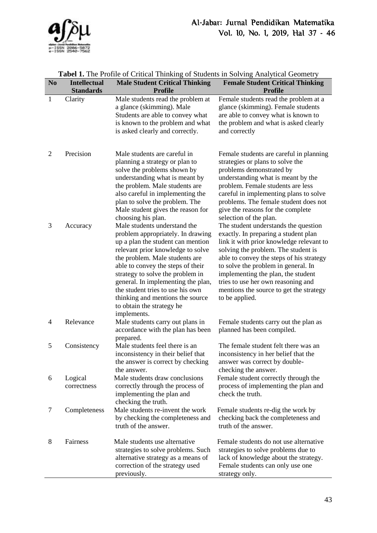

| <b>Tabel 1.</b> The Profile of Critical Thinking of Suddents in Solving Analytical Geometry |                                         |                                                                                                                                                                                                                                                                                                                                                                                                                  |                                                                                                                                                                                                                                                                                                                                                                                             |
|---------------------------------------------------------------------------------------------|-----------------------------------------|------------------------------------------------------------------------------------------------------------------------------------------------------------------------------------------------------------------------------------------------------------------------------------------------------------------------------------------------------------------------------------------------------------------|---------------------------------------------------------------------------------------------------------------------------------------------------------------------------------------------------------------------------------------------------------------------------------------------------------------------------------------------------------------------------------------------|
| N <sub>0</sub>                                                                              | <b>Intellectual</b><br><b>Standards</b> | <b>Male Student Critical Thinking</b><br><b>Profile</b>                                                                                                                                                                                                                                                                                                                                                          | <b>Female Student Critical Thinking</b><br><b>Profile</b>                                                                                                                                                                                                                                                                                                                                   |
| $\mathbf{1}$                                                                                | Clarity                                 | Male students read the problem at<br>a glance (skimming). Male<br>Students are able to convey what<br>is known to the problem and what<br>is asked clearly and correctly.                                                                                                                                                                                                                                        | Female students read the problem at a<br>glance (skimming). Female students<br>are able to convey what is known to<br>the problem and what is asked clearly<br>and correctly                                                                                                                                                                                                                |
| $\overline{2}$                                                                              | Precision                               | Male students are careful in<br>planning a strategy or plan to<br>solve the problems shown by<br>understanding what is meant by<br>the problem. Male students are<br>also careful in implementing the<br>plan to solve the problem. The<br>Male student gives the reason for<br>choosing his plan.                                                                                                               | Female students are careful in planning<br>strategies or plans to solve the<br>problems demonstrated by<br>understanding what is meant by the<br>problem. Female students are less<br>careful in implementing plans to solve<br>problems. The female student does not<br>give the reasons for the complete<br>selection of the plan.                                                        |
| 3                                                                                           | Accuracy                                | Male students understand the<br>problem appropriately. In drawing<br>up a plan the student can mention<br>relevant prior knowledge to solve<br>the problem. Male students are<br>able to convey the steps of their<br>strategy to solve the problem in<br>general. In implementing the plan,<br>the student tries to use his own<br>thinking and mentions the source<br>to obtain the strategy he<br>implements. | The student understands the question<br>exactly. In preparing a student plan<br>link it with prior knowledge relevant to<br>solving the problem. The student is<br>able to convey the steps of his strategy<br>to solve the problem in general. In<br>implementing the plan, the student<br>tries to use her own reasoning and<br>mentions the source to get the strategy<br>to be applied. |
| 4                                                                                           | Relevance                               | Male students carry out plans in<br>accordance with the plan has been<br>prepared.                                                                                                                                                                                                                                                                                                                               | Female students carry out the plan as<br>planned has been compiled.                                                                                                                                                                                                                                                                                                                         |
| 5                                                                                           | Consistency                             | Male students feel there is an<br>inconsistency in their belief that<br>the answer is correct by checking<br>the answer.                                                                                                                                                                                                                                                                                         | The female student felt there was an<br>inconsistency in her belief that the<br>answer was correct by double-<br>checking the answer.                                                                                                                                                                                                                                                       |
| 6                                                                                           | Logical<br>correctness                  | Male students draw conclusions<br>correctly through the process of<br>implementing the plan and<br>checking the truth.                                                                                                                                                                                                                                                                                           | Female student correctly through the<br>process of implementing the plan and<br>check the truth.                                                                                                                                                                                                                                                                                            |
| 7                                                                                           | Completeness                            | Male students re-invent the work<br>by checking the completeness and<br>truth of the answer.                                                                                                                                                                                                                                                                                                                     | Female students re-dig the work by<br>checking back the completeness and<br>truth of the answer.                                                                                                                                                                                                                                                                                            |
| 8                                                                                           | Fairness                                | Male students use alternative<br>strategies to solve problems. Such<br>alternative strategy as a means of<br>correction of the strategy used<br>previously.                                                                                                                                                                                                                                                      | Female students do not use alternative<br>strategies to solve problems due to<br>lack of knowledge about the strategy.<br>Female students can only use one<br>strategy only.                                                                                                                                                                                                                |

# Tabel 1. The Profile of Critical Thinking of Students in Solving Analytical Geometry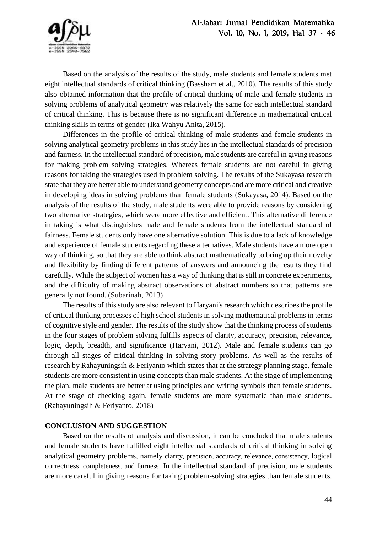

Based on the analysis of the results of the study, male students and female students met eight intellectual standards of critical thinking (Bassham et al., 2010). The results of this study also obtained information that the profile of critical thinking of male and female students in solving problems of analytical geometry was relatively the same for each intellectual standard of critical thinking. This is because there is no significant difference in mathematical critical thinking skills in terms of gender (Ika Wahyu Anita, 2015).

Differences in the profile of critical thinking of male students and female students in solving analytical geometry problems in this study lies in the intellectual standards of precision and fairness. In the intellectual standard of precision, male students are careful in giving reasons for making problem solving strategies. Whereas female students are not careful in giving reasons for taking the strategies used in problem solving. The results of the Sukayasa research state that they are better able to understand geometry concepts and are more critical and creative in developing ideas in solving problems than female students (Sukayasa, 2014). Based on the analysis of the results of the study, male students were able to provide reasons by considering two alternative strategies, which were more effective and efficient. This alternative difference in taking is what distinguishes male and female students from the intellectual standard of fairness. Female students only have one alternative solution. This is due to a lack of knowledge and experience of female students regarding these alternatives. Male students have a more open way of thinking, so that they are able to think abstract mathematically to bring up their novelty and flexibility by finding different patterns of answers and announcing the results they find carefully. While the subject of women has a way of thinking that is still in concrete experiments, and the difficulty of making abstract observations of abstract numbers so that patterns are generally not found. (Subarinah, 2013)

The results of this study are also relevant to Haryani's research which describes the profile of critical thinking processes of high school students in solving mathematical problems in terms of cognitive style and gender. The results of the study show that the thinking process of students in the four stages of problem solving fulfills aspects of clarity, accuracy, precision, relevance, logic, depth, breadth, and significance (Haryani, 2012). Male and female students can go through all stages of critical thinking in solving story problems. As well as the results of research by Rahayuningsih & Feriyanto which states that at the strategy planning stage, female students are more consistent in using concepts than male students. At the stage of implementing the plan, male students are better at using principles and writing symbols than female students. At the stage of checking again, female students are more systematic than male students. (Rahayuningsih & Feriyanto, 2018)

## **CONCLUSION AND SUGGESTION**

Based on the results of analysis and discussion, it can be concluded that male students and female students have fulfilled eight intellectual standards of critical thinking in solving analytical geometry problems, namely clarity, precision, accuracy, relevance, consistency, logical correctness, completeness, and fairness. In the intellectual standard of precision, male students are more careful in giving reasons for taking problem-solving strategies than female students.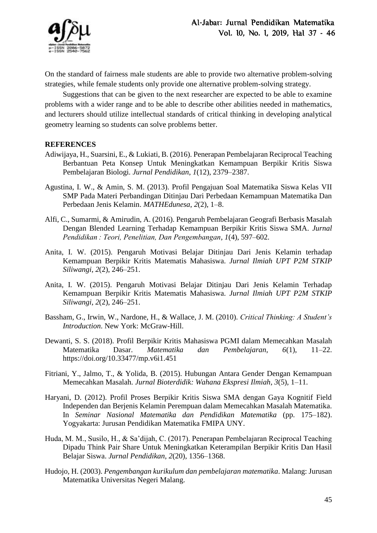

On the standard of fairness male students are able to provide two alternative problem-solving strategies, while female students only provide one alternative problem-solving strategy.

Suggestions that can be given to the next researcher are expected to be able to examine problems with a wider range and to be able to describe other abilities needed in mathematics, and lecturers should utilize intellectual standards of critical thinking in developing analytical geometry learning so students can solve problems better.

## **REFERENCES**

- Adiwijaya, H., Suarsini, E., & Lukiati, B. (2016). Penerapan Pembelajaran Reciprocal Teaching Berbantuan Peta Konsep Untuk Meningkatkan Kemampuan Berpikir Kritis Siswa Pembelajaran Biologi. *Jurnal Pendidikan*, *1*(12), 2379–2387.
- Agustina, I. W., & Amin, S. M. (2013). Profil Pengajuan Soal Matematika Siswa Kelas VII SMP Pada Materi Perbandingan Ditinjau Dari Perbedaan Kemampuan Matematika Dan Perbedaan Jenis Kelamin. *MATHEdunesa*, *2*(2), 1–8.
- Alfi, C., Sumarmi, & Amirudin, A. (2016). Pengaruh Pembelajaran Geografi Berbasis Masalah Dengan Blended Learning Terhadap Kemampuan Berpikir Kritis Siswa SMA. *Jurnal Pendidikan : Teori, Penelitian, Dan Pengembangan*, *1*(4), 597–602.
- Anita, I. W. (2015). Pengaruh Motivasi Belajar Ditinjau Dari Jenis Kelamin terhadap Kemampuan Berpikir Kritis Matematis Mahasiswa. *Jurnal Ilmiah UPT P2M STKIP Siliwangi*, *2*(2), 246–251.
- Anita, I. W. (2015). Pengaruh Motivasi Belajar Ditinjau Dari Jenis Kelamin Terhadap Kemampuan Berpikir Kritis Matematis Mahasiswa. *Jurnal Ilmiah UPT P2M STKIP Siliwangi*, *2*(2), 246–251.
- Bassham, G., Irwin, W., Nardone, H., & Wallace, J. M. (2010). *Critical Thinking: A Student's Introduction*. New York: McGraw-Hill.
- Dewanti, S. S. (2018). Profil Berpikir Kritis Mahasiswa PGMI dalam Memecahkan Masalah Matematika Dasar. *Matematika dan Pembelajaran*, *6*(1), 11–22. https://doi.org/10.33477/mp.v6i1.451
- Fitriani, Y., Jalmo, T., & Yolida, B. (2015). Hubungan Antara Gender Dengan Kemampuan Memecahkan Masalah. *Jurnal Bioterdidik: Wahana Ekspresi Ilmiah*, *3*(5), 1–11.
- Haryani, D. (2012). Profil Proses Berpikir Kritis Siswa SMA dengan Gaya Kognitif Field Independen dan Berjenis Kelamin Perempuan dalam Memecahkan Masalah Matematika. In *Seminar Nasional Matematika dan Pendidikan Matematika* (pp. 175–182). Yogyakarta: Jurusan Pendidikan Matematika FMIPA UNY.
- Huda, M. M., Susilo, H., & Sa'dijah, C. (2017). Penerapan Pembelajaran Reciprocal Teaching Dipadu Think Pair Share Untuk Meningkatkan Keterampilan Berpikir Kritis Dan Hasil Belajar Siswa. *Jurnal Pendidikan*, *2*(20), 1356–1368.
- Hudojo, H. (2003). *Pengembangan kurikulum dan pembelajaran matematika*. Malang: Jurusan Matematika Universitas Negeri Malang.